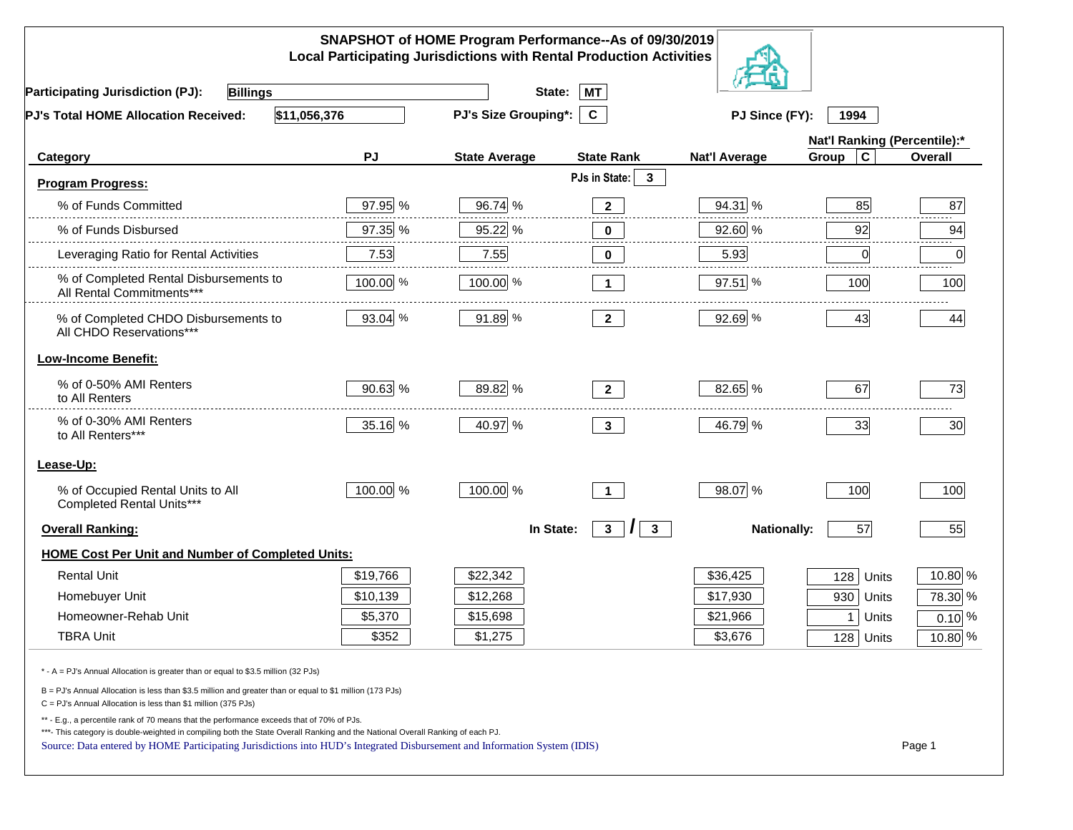| SNAPSHOT of HOME Program Performance--As of 09/30/2019<br><b>Local Participating Jurisdictions with Rental Production Activities</b>                                                                                                                                                                                                                     |           |                             |                                          |                        |                         |                              |  |
|----------------------------------------------------------------------------------------------------------------------------------------------------------------------------------------------------------------------------------------------------------------------------------------------------------------------------------------------------------|-----------|-----------------------------|------------------------------------------|------------------------|-------------------------|------------------------------|--|
| <b>Billings</b><br><b>Participating Jurisdiction (PJ):</b>                                                                                                                                                                                                                                                                                               |           | State:                      | <b>MT</b>                                |                        |                         |                              |  |
| \$11,056,376<br>PJ's Total HOME Allocation Received:                                                                                                                                                                                                                                                                                                     |           | <b>PJ's Size Grouping*:</b> | $\mathbf{c}$                             | PJ Since (FY):<br>1994 |                         |                              |  |
|                                                                                                                                                                                                                                                                                                                                                          |           |                             |                                          |                        |                         | Nat'l Ranking (Percentile):* |  |
| Category                                                                                                                                                                                                                                                                                                                                                 | <b>PJ</b> | <b>State Average</b>        | <b>State Rank</b>                        | <b>Nat'l Average</b>   | $\mathbf c$<br>Group    | Overall                      |  |
| <b>Program Progress:</b>                                                                                                                                                                                                                                                                                                                                 |           |                             | PJs in State:<br>$\mathbf{3}$            |                        |                         |                              |  |
| % of Funds Committed                                                                                                                                                                                                                                                                                                                                     | 97.95 %   | 96.74 %                     | $\mathbf{2}$                             | 94.31 %                | 85                      | 87                           |  |
| % of Funds Disbursed                                                                                                                                                                                                                                                                                                                                     | 97.35 %   | 95.22 %                     | $\bf{0}$                                 | 92.60 %                | 92                      | 94                           |  |
| Leveraging Ratio for Rental Activities                                                                                                                                                                                                                                                                                                                   | 7.53      | 7.55                        | $\bf{0}$                                 | 5.93                   | 0                       | 0                            |  |
| % of Completed Rental Disbursements to<br>All Rental Commitments***                                                                                                                                                                                                                                                                                      | 100.00 %  | 100.00 %                    | 1                                        | 97.51 %                | 100                     | 100                          |  |
| % of Completed CHDO Disbursements to<br>All CHDO Reservations***                                                                                                                                                                                                                                                                                         | 93.04 %   | 91.89 %                     | $\mathbf{2}$                             | 92.69 %                | 43                      | 44                           |  |
| <b>Low-Income Benefit:</b>                                                                                                                                                                                                                                                                                                                               |           |                             |                                          |                        |                         |                              |  |
| % of 0-50% AMI Renters<br>to All Renters                                                                                                                                                                                                                                                                                                                 | $90.63\%$ | 89.82 %                     | $2^{\circ}$                              | 82.65 %                | 67                      | 73                           |  |
| % of 0-30% AMI Renters<br>to All Renters***                                                                                                                                                                                                                                                                                                              | 35.16 %   | 40.97 %                     | $\mathbf{3}$                             | 46.79 %                | 33                      | 30                           |  |
| Lease-Up:                                                                                                                                                                                                                                                                                                                                                |           |                             |                                          |                        |                         |                              |  |
| % of Occupied Rental Units to All<br>Completed Rental Units***                                                                                                                                                                                                                                                                                           | 100.00 %  | 100.00 %                    | $\overline{1}$                           | 98.07 %                | 100                     | 100                          |  |
| <b>Overall Ranking:</b>                                                                                                                                                                                                                                                                                                                                  |           | In State:                   | $\mathbf{3}$<br>$\mathbf{3}$<br>$\prime$ | <b>Nationally:</b>     | 57                      | 55                           |  |
| <b>HOME Cost Per Unit and Number of Completed Units:</b>                                                                                                                                                                                                                                                                                                 |           |                             |                                          |                        |                         |                              |  |
| <b>Rental Unit</b>                                                                                                                                                                                                                                                                                                                                       | \$19,766  | \$22,342                    |                                          | \$36,425               | 128<br>Units            | 10.80 %                      |  |
| Homebuyer Unit                                                                                                                                                                                                                                                                                                                                           | \$10,139  | \$12,268                    |                                          | \$17,930               | 930<br>Units            | 78.30 %                      |  |
| Homeowner-Rehab Unit                                                                                                                                                                                                                                                                                                                                     | \$5,370   | \$15,698                    |                                          | \$21,966               | 1 <sup>1</sup><br>Units | $0.10\%$                     |  |
| <b>TBRA Unit</b>                                                                                                                                                                                                                                                                                                                                         | \$352     | \$1,275                     |                                          | \$3,676                | $128$ Units             | $10.80\%$                    |  |
| * - A = PJ's Annual Allocation is greater than or equal to \$3.5 million (32 PJs)                                                                                                                                                                                                                                                                        |           |                             |                                          |                        |                         |                              |  |
| B = PJ's Annual Allocation is less than \$3.5 million and greater than or equal to \$1 million (173 PJs)<br>$C = PJ's$ Annual Allocation is less than \$1 million (375 PJs)                                                                                                                                                                              |           |                             |                                          |                        |                         |                              |  |
| ** - E.g., a percentile rank of 70 means that the performance exceeds that of 70% of PJs.<br>***- This category is double-weighted in compiling both the State Overall Ranking and the National Overall Ranking of each PJ.<br>Source: Data entered by HOME Participating Jurisdictions into HUD's Integrated Disbursement and Information System (IDIS) |           |                             |                                          |                        |                         | Page 1                       |  |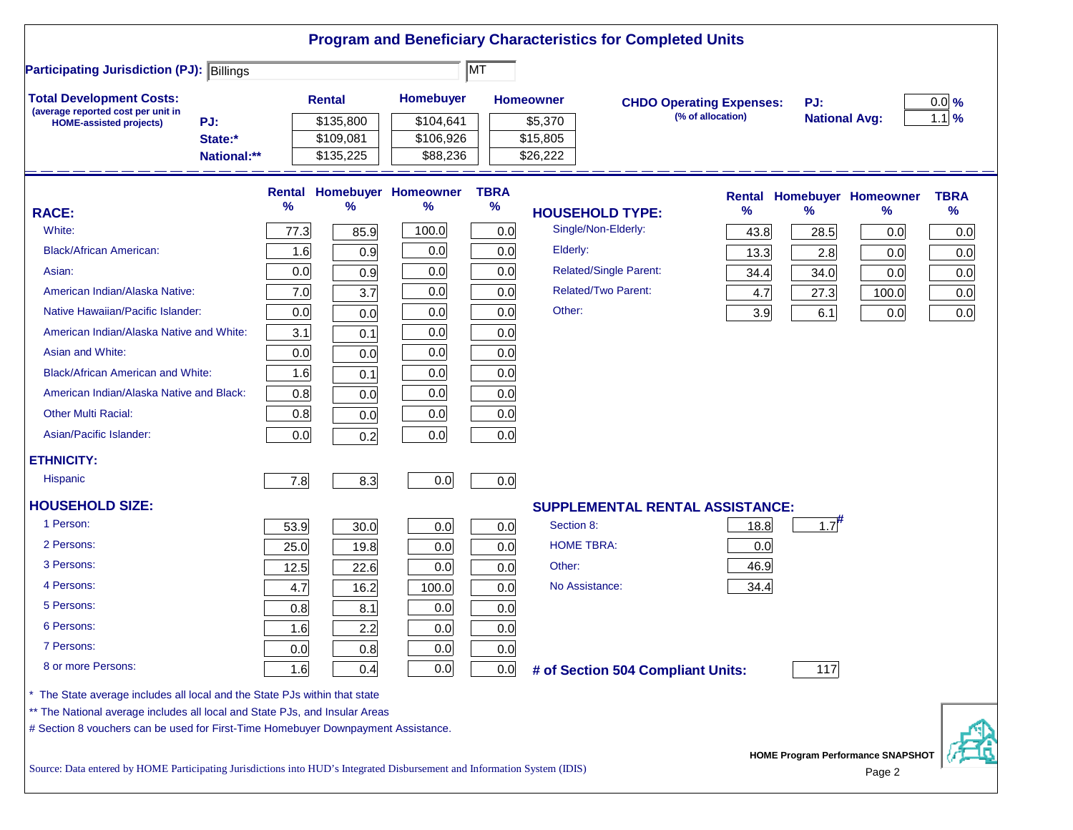|                                                                                                                           |      |                                     |                                        |                     |                                 | <b>Program and Beneficiary Characteristics for Completed Units</b> |                   |                             |                                          |                     |
|---------------------------------------------------------------------------------------------------------------------------|------|-------------------------------------|----------------------------------------|---------------------|---------------------------------|--------------------------------------------------------------------|-------------------|-----------------------------|------------------------------------------|---------------------|
| <b>Participating Jurisdiction (PJ): Billings</b>                                                                          |      |                                     |                                        | <b>MT</b>           |                                 |                                                                    |                   |                             |                                          |                     |
| <b>Total Development Costs:</b><br>(average reported cost per unit in                                                     |      | <b>Rental</b>                       | Homebuyer                              |                     | <b>Homeowner</b>                | <b>CHDO Operating Expenses:</b>                                    | (% of allocation) | PJ:<br><b>National Avg:</b> |                                          | $0.0\%$<br>$1.1\%$  |
| PJ:<br><b>HOME-assisted projects)</b><br>State:*<br>National:**                                                           |      | \$135,800<br>\$109,081<br>\$135,225 | \$104,641<br>\$106,926<br>\$88,236     |                     | \$5,370<br>\$15,805<br>\$26,222 |                                                                    |                   |                             |                                          |                     |
| <b>RACE:</b>                                                                                                              | %    | %                                   | <b>Rental Homebuyer Homeowner</b><br>% | <b>TBRA</b><br>$\%$ |                                 | <b>HOUSEHOLD TYPE:</b>                                             | %                 | $\frac{9}{6}$               | <b>Rental Homebuyer Homeowner</b><br>%   | <b>TBRA</b><br>$\%$ |
| White:                                                                                                                    | 77.3 | 85.9                                | 100.0                                  | 0.0                 |                                 | Single/Non-Elderly:                                                | 43.8              | 28.5                        | 0.0                                      | 0.0                 |
| <b>Black/African American:</b>                                                                                            | 1.6  | 0.9                                 | 0.0                                    | 0.0                 | Elderly:                        |                                                                    | 13.3              | 2.8                         | 0.0                                      | 0.0                 |
| Asian:                                                                                                                    | 0.0  | 0.9                                 | 0.0                                    | 0.0                 |                                 | Related/Single Parent:                                             | 34.4              | 34.0                        | 0.0                                      | 0.0                 |
| American Indian/Alaska Native:                                                                                            | 7.0  | 3.7                                 | 0.0                                    | 0.0                 |                                 | <b>Related/Two Parent:</b>                                         | 4.7               | 27.3                        | 100.0                                    | 0.0                 |
| Native Hawaiian/Pacific Islander:                                                                                         | 0.0  | 0.0                                 | 0.0                                    | 0.0                 | Other:                          |                                                                    | 3.9               | 6.1                         | 0.0                                      | 0.0                 |
| American Indian/Alaska Native and White:                                                                                  | 3.1  | 0.1                                 | 0.0                                    | 0.0                 |                                 |                                                                    |                   |                             |                                          |                     |
| Asian and White:                                                                                                          | 0.0  | 0.0                                 | 0.0                                    | 0.0                 |                                 |                                                                    |                   |                             |                                          |                     |
| <b>Black/African American and White:</b>                                                                                  | 1.6  | 0.1                                 | 0.0                                    | 0.0                 |                                 |                                                                    |                   |                             |                                          |                     |
| American Indian/Alaska Native and Black:                                                                                  | 0.8  | 0.0                                 | 0.0                                    | 0.0                 |                                 |                                                                    |                   |                             |                                          |                     |
| <b>Other Multi Racial:</b>                                                                                                | 0.8  | 0.0                                 | 0.0                                    | 0.0                 |                                 |                                                                    |                   |                             |                                          |                     |
| Asian/Pacific Islander:                                                                                                   | 0.0  | 0.2                                 | 0.0                                    | 0.0                 |                                 |                                                                    |                   |                             |                                          |                     |
| <b>ETHNICITY:</b>                                                                                                         |      |                                     |                                        |                     |                                 |                                                                    |                   |                             |                                          |                     |
| <b>Hispanic</b>                                                                                                           | 7.8  | 8.3                                 | 0.0                                    | 0.0                 |                                 |                                                                    |                   |                             |                                          |                     |
| <b>HOUSEHOLD SIZE:</b>                                                                                                    |      |                                     |                                        |                     |                                 | <b>SUPPLEMENTAL RENTAL ASSISTANCE:</b>                             |                   |                             |                                          |                     |
| 1 Person:                                                                                                                 | 53.9 | 30.0                                | 0.0                                    | 0.0                 | Section 8:                      |                                                                    | 18.8              | $1.7$ <sup>#</sup>          |                                          |                     |
| 2 Persons:                                                                                                                | 25.0 | 19.8                                | 0.0                                    | 0.0                 | <b>HOME TBRA:</b>               |                                                                    | 0.0               |                             |                                          |                     |
| 3 Persons:                                                                                                                | 12.5 | 22.6                                | 0.0                                    | 0.0                 | Other:                          |                                                                    | 46.9              |                             |                                          |                     |
| 4 Persons:                                                                                                                | 4.7  | 16.2                                | 100.0                                  | 0.0                 | No Assistance:                  |                                                                    | 34.4              |                             |                                          |                     |
| 5 Persons:                                                                                                                | 0.8  | 8.1                                 | 0.0                                    | 0.0                 |                                 |                                                                    |                   |                             |                                          |                     |
| 6 Persons:                                                                                                                | 1.6  | 2.2                                 | 0.0                                    | 0.0                 |                                 |                                                                    |                   |                             |                                          |                     |
| 7 Persons:                                                                                                                | 0.0  | 0.8                                 | 0.0                                    | 0.0                 |                                 |                                                                    |                   |                             |                                          |                     |
| 8 or more Persons:                                                                                                        | 1.6  | 0.4                                 | 0.0                                    | 0.0                 |                                 | # of Section 504 Compliant Units:                                  |                   | 117                         |                                          |                     |
| * The State average includes all local and the State PJs within that state                                                |      |                                     |                                        |                     |                                 |                                                                    |                   |                             |                                          |                     |
| ** The National average includes all local and State PJs, and Insular Areas                                               |      |                                     |                                        |                     |                                 |                                                                    |                   |                             |                                          |                     |
| # Section 8 vouchers can be used for First-Time Homebuyer Downpayment Assistance.                                         |      |                                     |                                        |                     |                                 |                                                                    |                   |                             | <b>HOME Program Performance SNAPSHOT</b> |                     |
| Source: Data entered by HOME Participating Jurisdictions into HUD's Integrated Disbursement and Information System (IDIS) |      |                                     |                                        |                     |                                 |                                                                    |                   | Page 2                      |                                          |                     |